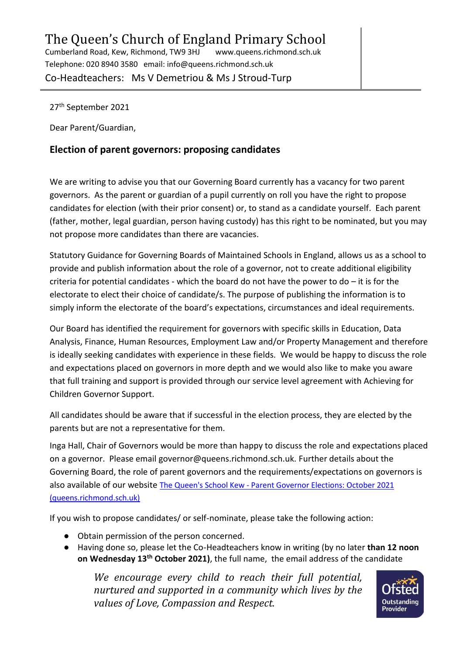Telephone: 020 8940 3580 email: info@queens.richmond.sch.uk

Co-Headteachers: Ms V Demetriou & Ms J Stroud-Turp

27th September 2021

Dear Parent/Guardian,

## **Election of parent governors: proposing candidates**

We are writing to advise you that our Governing Board currently has a vacancy for two parent governors. As the parent or guardian of a pupil currently on roll you have the right to propose candidates for election (with their prior consent) or, to stand as a candidate yourself. Each parent (father, mother, legal guardian, person having custody) has this right to be nominated, but you may not propose more candidates than there are vacancies.

Statutory Guidance for Governing Boards of Maintained Schools in England, allows us as a school to provide and publish information about the role of a governor, not to create additional eligibility criteria for potential candidates - which the board do not have the power to do  $-$  it is for the electorate to elect their choice of candidate/s. The purpose of publishing the information is to simply inform the electorate of the board's expectations, circumstances and ideal requirements.

Our Board has identified the requirement for governors with specific skills in Education, Data Analysis, Finance, Human Resources, Employment Law and/or Property Management and therefore is ideally seeking candidates with experience in these fields. We would be happy to discuss the role and expectations placed on governors in more depth and we would also like to make you aware that full training and support is provided through our service level agreement with Achieving for Children Governor Support.

All candidates should be aware that if successful in the election process, they are elected by the parents but are not a representative for them.

Inga Hall, Chair of Governors would be more than happy to discuss the role and expectations placed on a governor. Please email governor@queens.richmond.sch.uk. Further details about the Governing Board, the role of parent governors and the requirements/expectations on governors is also available of our website The Queen's School Kew - [Parent Governor Elections: October 2021](https://www.queens.richmond.sch.uk/page/?title=Parent+Governor+Elections%3A+October+2021&pid=737)  [\(queens.richmond.sch.uk\)](https://www.queens.richmond.sch.uk/page/?title=Parent+Governor+Elections%3A+October+2021&pid=737)

If you wish to propose candidates/ or self-nominate, please take the following action:

- Obtain permission of the person concerned.
- Having done so, please let the Co-Headteachers know in writing (by no later **than 12 noon on Wednesday 13th October 2021)**, the full name, the email address of the candidate

*We encourage every child to reach their full potential, nurtured and supported in a community which lives by the values of Love, Compassion and Respect.*